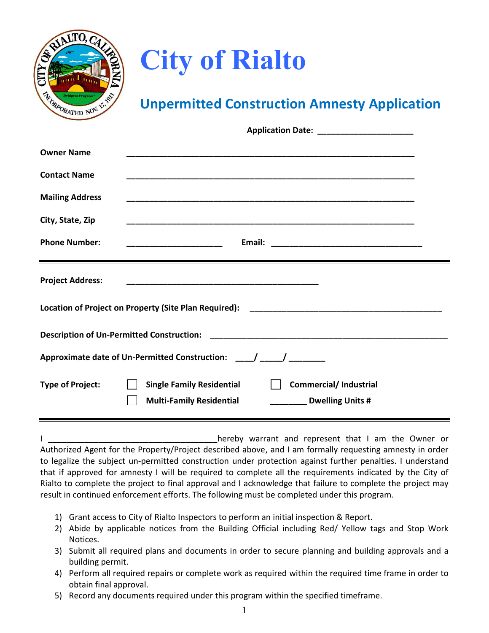

## **City of Rialto**

## **Unpermitted Construction Amnesty Application**

|                                                                      | Application Date: ________________________                                                                              |  |  |  |
|----------------------------------------------------------------------|-------------------------------------------------------------------------------------------------------------------------|--|--|--|
| <b>Owner Name</b>                                                    |                                                                                                                         |  |  |  |
| <b>Contact Name</b>                                                  |                                                                                                                         |  |  |  |
| <b>Mailing Address</b>                                               |                                                                                                                         |  |  |  |
| City, State, Zip                                                     |                                                                                                                         |  |  |  |
| <b>Phone Number:</b>                                                 | <u> 1980 - Jan James James Barnett, fransk politik (</u>                                                                |  |  |  |
| <b>Project Address:</b>                                              |                                                                                                                         |  |  |  |
|                                                                      |                                                                                                                         |  |  |  |
|                                                                      |                                                                                                                         |  |  |  |
| Approximate date of Un-Permitted Construction: ____/ _____/ ________ |                                                                                                                         |  |  |  |
| <b>Type of Project:</b>                                              | <b>Commercial/Industrial</b><br><b>Single Family Residential</b><br><b>Multi-Family Residential</b><br>Dwelling Units # |  |  |  |

I **\_\_\_\_\_\_\_\_\_\_\_\_\_\_\_\_\_\_\_\_\_\_\_\_\_\_\_\_\_\_\_\_\_\_\_\_\_**hereby warrant and represent that I am the Owner or Authorized Agent for the Property/Project described above, and I am formally requesting amnesty in order to legalize the subject un-permitted construction under protection against further penalties. I understand that if approved for amnesty I will be required to complete all the requirements indicated by the City of Rialto to complete the project to final approval and I acknowledge that failure to complete the project may result in continued enforcement efforts. The following must be completed under this program.

- 1) Grant access to City of Rialto Inspectors to perform an initial inspection & Report.
- 2) Abide by applicable notices from the Building Official including Red/ Yellow tags and Stop Work Notices.
- 3) Submit all required plans and documents in order to secure planning and building approvals and a building permit.
- 4) Perform all required repairs or complete work as required within the required time frame in order to obtain final approval.
- 5) Record any documents required under this program within the specified timeframe.